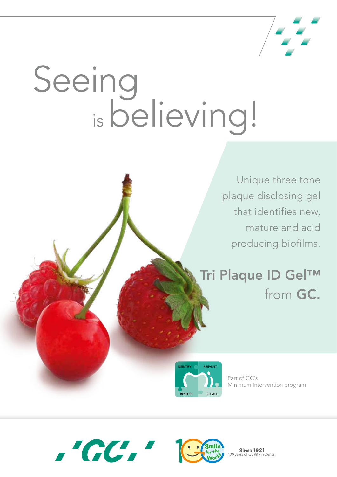

# Seeing isbelieving!

Unique three tone plaque disclosing gel that identifies new, mature and acid producing biofilms.

## Tri Plaque ID Gel™ from GC.



Part of GC's Minimum Intervention program.





**Since 1921**  $100$  vears .∙<br>n Dental